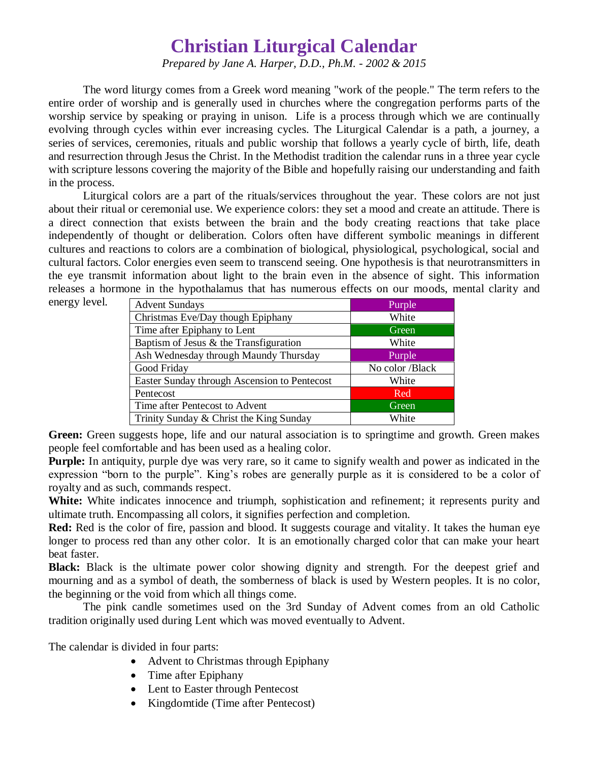## **Christian Liturgical Calendar**

*Prepared by Jane A. Harper, D.D., Ph.M. - 2002 & 2015*

The word liturgy comes from a Greek word meaning "work of the people." The term refers to the entire order of worship and is generally used in churches where the congregation performs parts of the worship service by speaking or praying in unison. Life is a process through which we are continually evolving through cycles within ever increasing cycles. The Liturgical Calendar is a path, a journey, a series of services, ceremonies, rituals and public worship that follows a yearly cycle of birth, life, death and resurrection through Jesus the Christ. In the Methodist tradition the calendar runs in a three year cycle with scripture lessons covering the majority of the Bible and hopefully raising our understanding and faith in the process.

Liturgical colors are a part of the rituals/services throughout the year. These colors are not just about their ritual or ceremonial use. We experience colors: they set a mood and create an attitude. There is a direct connection that exists between the brain and the body creating reactions that take place independently of thought or deliberation. Colors often have different symbolic meanings in different cultures and reactions to colors are a combination of biological, physiological, psychological, social and cultural factors. Color energies even seem to transcend seeing. One hypothesis is that neurotransmitters in the eye transmit information about light to the brain even in the absence of sight. This information releases a hormone in the hypothalamus that has numerous effects on our moods, mental clarity and

energy level.

| <b>Advent Sundays</b>                        | Purple          |
|----------------------------------------------|-----------------|
| Christmas Eve/Day though Epiphany            | White           |
| Time after Epiphany to Lent                  | Green           |
| Baptism of Jesus $\&$ the Transfiguration    | White           |
| Ash Wednesday through Maundy Thursday        | Purple          |
| Good Friday                                  | No color /Black |
| Easter Sunday through Ascension to Pentecost | White           |
| Pentecost                                    | <b>Red</b>      |
| Time after Pentecost to Advent               | Green           |
| Trinity Sunday & Christ the King Sunday      | White           |

Green: Green suggests hope, life and our natural association is to springtime and growth. Green makes people feel comfortable and has been used as a healing color.

**Purple:** In antiquity, purple dye was very rare, so it came to signify wealth and power as indicated in the expression "born to the purple". King's robes are generally purple as it is considered to be a color of royalty and as such, commands respect.

White: White indicates innocence and triumph, sophistication and refinement; it represents purity and ultimate truth. Encompassing all colors, it signifies perfection and completion.

Red: Red is the color of fire, passion and blood. It suggests courage and vitality. It takes the human eye longer to process red than any other color. It is an emotionally charged color that can make your heart beat faster.

**Black:** Black is the ultimate power color showing dignity and strength. For the deepest grief and mourning and as a symbol of death, the somberness of black is used by Western peoples. It is no color, the beginning or the void from which all things come.

The pink candle sometimes used on the 3rd Sunday of Advent comes from an old Catholic tradition originally used during Lent which was moved eventually to Advent.

The calendar is divided in four parts:

- Advent to Christmas through Epiphany
- Time after Epiphany
- Lent to Easter through Pentecost
- Kingdomtide (Time after Pentecost)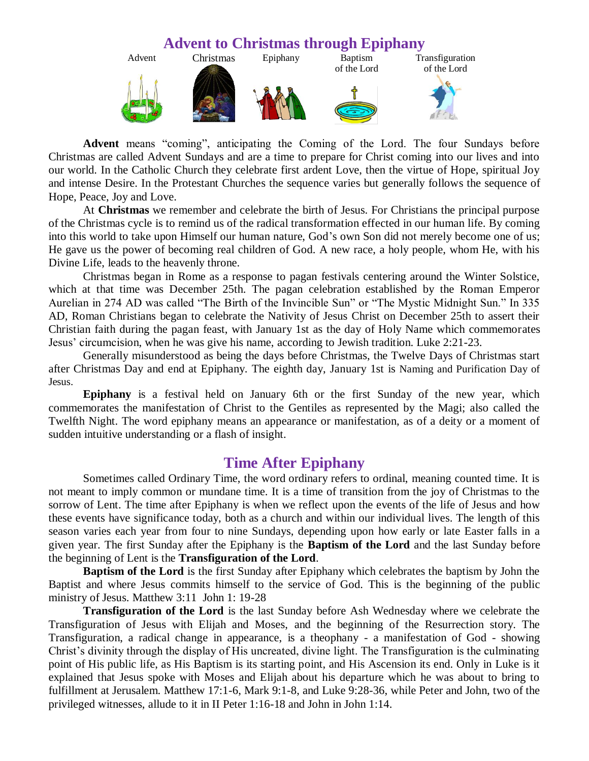

**Advent** means "coming", anticipating the Coming of the Lord. The four Sundays before Christmas are called Advent Sundays and are a time to prepare for Christ coming into our lives and into our world. In the Catholic Church they celebrate first ardent Love, then the virtue of Hope, spiritual Joy and intense Desire. In the Protestant Churches the sequence varies but generally follows the sequence of Hope, Peace, Joy and Love.

At **Christmas** we remember and celebrate the birth of Jesus. For Christians the principal purpose of the Christmas cycle is to remind us of the radical transformation effected in our human life. By coming into this world to take upon Himself our human nature, God's own Son did not merely become one of us; He gave us the power of becoming real children of God. A new race, a holy people, whom He, with his Divine Life, leads to the heavenly throne.

Christmas began in Rome as a response to pagan festivals centering around the Winter Solstice, which at that time was December 25th. The pagan celebration established by the Roman Emperor Aurelian in 274 AD was called "The Birth of the Invincible Sun" or "The Mystic Midnight Sun." In 335 AD, Roman Christians began to celebrate the Nativity of Jesus Christ on December 25th to assert their Christian faith during the pagan feast, with January 1st as the day of Holy Name which commemorates Jesus' circumcision, when he was give his name, according to Jewish tradition. Luke 2:21-23.

Generally misunderstood as being the days before Christmas, the Twelve Days of Christmas start after Christmas Day and end at Epiphany. The eighth day, January 1st is Naming and Purification Day of Jesus.

**Epiphany** is a festival held on January 6th or the first Sunday of the new year, which commemorates the manifestation of Christ to the Gentiles as represented by the Magi; also called the Twelfth Night. The word epiphany means an appearance or manifestation, as of a deity or a moment of sudden intuitive understanding or a flash of insight.

## **Time After Epiphany**

Sometimes called Ordinary Time, the word ordinary refers to ordinal, meaning counted time. It is not meant to imply common or mundane time. It is a time of transition from the joy of Christmas to the sorrow of Lent. The time after Epiphany is when we reflect upon the events of the life of Jesus and how these events have significance today, both as a church and within our individual lives. The length of this season varies each year from four to nine Sundays, depending upon how early or late Easter falls in a given year. The first Sunday after the Epiphany is the **Baptism of the Lord** and the last Sunday before the beginning of Lent is the **Transfiguration of the Lord**.

**Baptism of the Lord** is the first Sunday after Epiphany which celebrates the baptism by John the Baptist and where Jesus commits himself to the service of God. This is the beginning of the public ministry of Jesus. Matthew 3:11 John 1: 19-28

**Transfiguration of the Lord** is the last Sunday before Ash Wednesday where we celebrate the Transfiguration of Jesus with Elijah and Moses, and the beginning of the Resurrection story. The Transfiguration, a radical change in appearance, is a theophany - a manifestation of God - showing Christ's divinity through the display of His uncreated, divine light. The Transfiguration is the culminating point of His public life, as His Baptism is its starting point, and His Ascension its end. Only in Luke is it explained that Jesus spoke with Moses and Elijah about his departure which he was about to bring to fulfillment at Jerusalem. Matthew 17:1-6, Mark 9:1-8, and Luke 9:28-36, while Peter and John, two of the privileged witnesses, allude to it in II Peter 1:16-18 and John in John 1:14.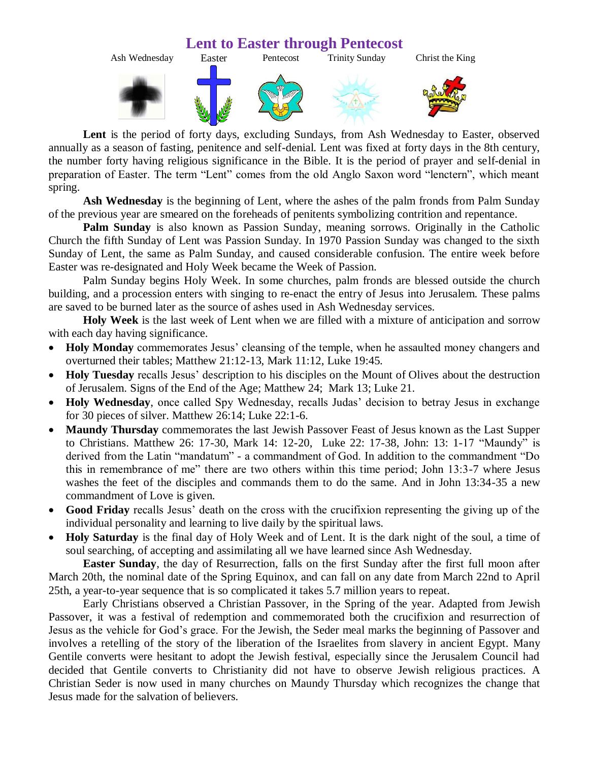

**Lent** is the period of forty days, excluding Sundays, from Ash Wednesday to Easter, observed annually as a season of fasting, penitence and self-denial. Lent was fixed at forty days in the 8th century, the number forty having religious significance in the Bible. It is the period of prayer and self-denial in preparation of Easter. The term "Lent" comes from the old Anglo Saxon word "lenctern", which meant spring.

**Ash Wednesday** is the beginning of Lent, where the ashes of the palm fronds from Palm Sunday of the previous year are smeared on the foreheads of penitents symbolizing contrition and repentance.

**Palm Sunday** is also known as Passion Sunday, meaning sorrows. Originally in the Catholic Church the fifth Sunday of Lent was Passion Sunday. In 1970 Passion Sunday was changed to the sixth Sunday of Lent, the same as Palm Sunday, and caused considerable confusion. The entire week before Easter was re-designated and Holy Week became the Week of Passion.

Palm Sunday begins Holy Week. In some churches, palm fronds are blessed outside the church building, and a procession enters with singing to re-enact the entry of Jesus into Jerusalem. These palms are saved to be burned later as the source of ashes used in Ash Wednesday services.

**Holy Week** is the last week of Lent when we are filled with a mixture of anticipation and sorrow with each day having significance.

- **Holy Monday** commemorates Jesus' cleansing of the temple, when he assaulted money changers and overturned their tables; Matthew 21:12-13, Mark 11:12, Luke 19:45.
- **Holy Tuesday** recalls Jesus' description to his disciples on the Mount of Olives about the destruction of Jerusalem. Signs of the End of the Age; Matthew 24; Mark 13; Luke 21.
- **Holy Wednesday**, once called Spy Wednesday, recalls Judas' decision to betray Jesus in exchange for 30 pieces of silver. Matthew 26:14; Luke 22:1-6.
- **Maundy Thursday** commemorates the last Jewish Passover Feast of Jesus known as the Last Supper to Christians. Matthew 26: 17-30, Mark 14: 12-20, Luke 22: 17-38, John: 13: 1-17 "Maundy" is derived from the Latin "mandatum" - a commandment of God. In addition to the commandment "Do this in remembrance of me" there are two others within this time period; John 13:3-7 where Jesus washes the feet of the disciples and commands them to do the same. And in John 13:34-35 a new commandment of Love is given.
- **Good Friday** recalls Jesus' death on the cross with the crucifixion representing the giving up of the individual personality and learning to live daily by the spiritual laws.
- **Holy Saturday** is the final day of Holy Week and of Lent. It is the dark night of the soul, a time of soul searching, of accepting and assimilating all we have learned since Ash Wednesday.

**Easter Sunday**, the day of Resurrection, falls on the first Sunday after the first full moon after March 20th, the nominal date of the Spring Equinox, and can fall on any date from March 22nd to April 25th, a year-to-year sequence that is so complicated it takes 5.7 million years to repeat.

Early Christians observed a Christian Passover, in the Spring of the year. Adapted from Jewish Passover, it was a festival of redemption and commemorated both the crucifixion and resurrection of Jesus as the vehicle for God's grace. For the Jewish, the Seder meal marks the beginning of Passover and involves a retelling of the story of the liberation of the Israelites from slavery in ancient Egypt. Many Gentile converts were hesitant to adopt the Jewish festival, especially since the Jerusalem Council had decided that Gentile converts to Christianity did not have to observe Jewish religious practices. A Christian Seder is now used in many churches on Maundy Thursday which recognizes the change that Jesus made for the salvation of believers.